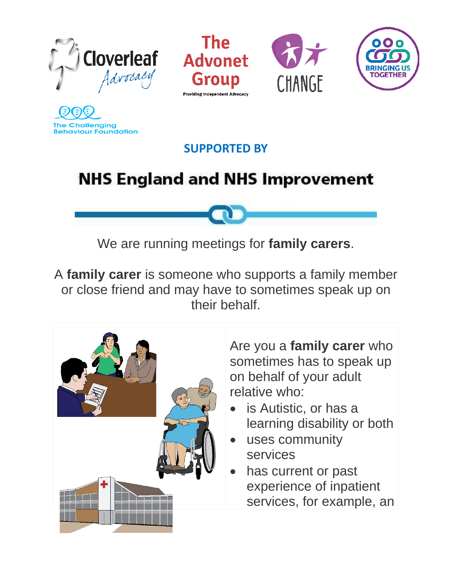







**The Challenging Behaviour Foundation** 

#### **SUPPORTED BY**

## **NHS England and NHS Improvement**

We are running meetings for **family carers**.

A **family carer** is someone who supports a family member or close friend and may have to sometimes speak up on their behalf.



Are you a **family carer** who sometimes has to speak up on behalf of your adult relative who:

- is Autistic, or has a learning disability or both
- uses community services
- has current or past experience of inpatient services, for example, an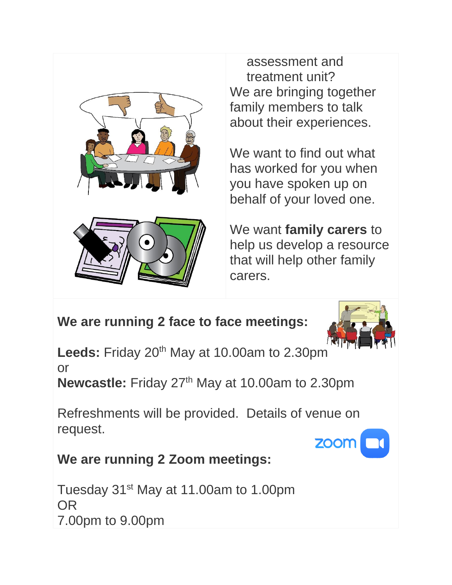

assessment and treatment unit? We are bringing together family members to talk about their experiences.

We want to find out what has worked for you when you have spoken up on behalf of your loved one.



We want **family carers** to help us develop a resource that will help other family carers.

### **We are running 2 face to face meetings:**



**Leeds:** Friday 20<sup>th</sup> May at 10.00am to 2.30pm or

**Newcastle:** Friday 27<sup>th</sup> May at 10.00am to 2.30pm

Refreshments will be provided. Details of venue on request.

# **ZOOM**

#### **We are running 2 Zoom meetings:**

Tuesday 31<sup>st</sup> May at 11.00am to 1.00pm OR 7.00pm to 9.00pm